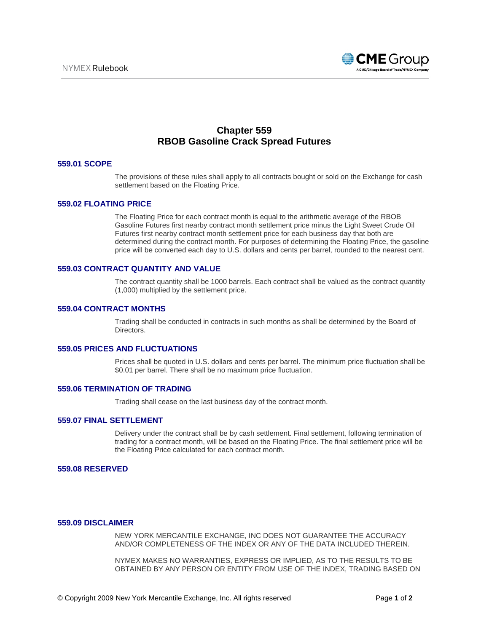

# **Chapter 559 RBOB Gasoline Crack Spread Futures**

#### **559.01 SCOPE**

The provisions of these rules shall apply to all contracts bought or sold on the Exchange for cash settlement based on the Floating Price.

#### **559.02 FLOATING PRICE**

The Floating Price for each contract month is equal to the arithmetic average of the RBOB Gasoline Futures first nearby contract month settlement price minus the Light Sweet Crude Oil Futures first nearby contract month settlement price for each business day that both are determined during the contract month. For purposes of determining the Floating Price, the gasoline price will be converted each day to U.S. dollars and cents per barrel, rounded to the nearest cent.

#### **559.03 CONTRACT QUANTITY AND VALUE**

The contract quantity shall be 1000 barrels. Each contract shall be valued as the contract quantity (1,000) multiplied by the settlement price.

### **559.04 CONTRACT MONTHS**

Trading shall be conducted in contracts in such months as shall be determined by the Board of Directors.

#### **559.05 PRICES AND FLUCTUATIONS**

Prices shall be quoted in U.S. dollars and cents per barrel. The minimum price fluctuation shall be \$0.01 per barrel. There shall be no maximum price fluctuation.

#### **559.06 TERMINATION OF TRADING**

Trading shall cease on the last business day of the contract month.

#### **559.07 FINAL SETTLEMENT**

Delivery under the contract shall be by cash settlement. Final settlement, following termination of trading for a contract month, will be based on the Floating Price. The final settlement price will be the Floating Price calculated for each contract month.

#### **559.08 RESERVED**

#### **559.09 DISCLAIMER**

NEW YORK MERCANTILE EXCHANGE, INC DOES NOT GUARANTEE THE ACCURACY AND/OR COMPLETENESS OF THE INDEX OR ANY OF THE DATA INCLUDED THEREIN.

NYMEX MAKES NO WARRANTIES, EXPRESS OR IMPLIED, AS TO THE RESULTS TO BE OBTAINED BY ANY PERSON OR ENTITY FROM USE OF THE INDEX, TRADING BASED ON